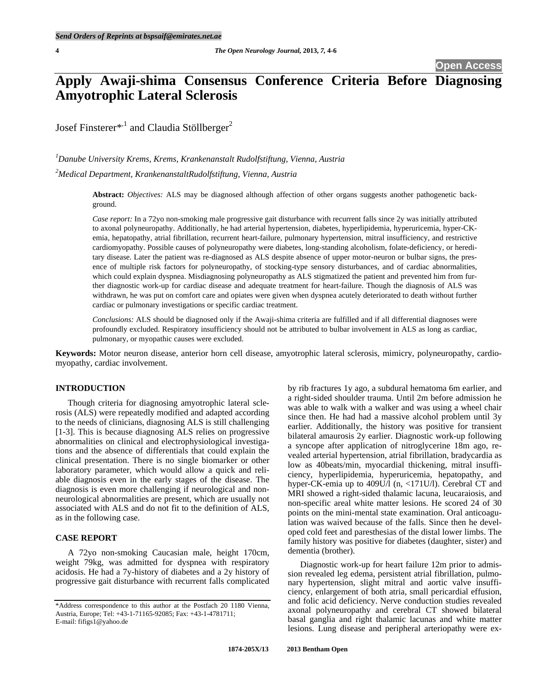**Open Acces** 

# **Apply Awaji-shima Consensus Conference Criteria Before Diagnosing Amyotrophic Lateral Sclerosis**

Josef Finsterer\*,<sup>1</sup> and Claudia Stöllberger<sup>2</sup>

*1 Danube University Krems, Krems, Krankenanstalt Rudolfstiftung, Vienna, Austria 2 Medical Department, KrankenanstaltRudolfstiftung, Vienna, Austria* 

> **Abstract:** *Objectives:* ALS may be diagnosed although affection of other organs suggests another pathogenetic background.

> *Case report:* In a 72yo non-smoking male progressive gait disturbance with recurrent falls since 2y was initially attributed to axonal polyneuropathy. Additionally, he had arterial hypertension, diabetes, hyperlipidemia, hyperuricemia, hyper-CKemia, hepatopathy, atrial fibrillation, recurrent heart-failure, pulmonary hypertension, mitral insufficiency, and restrictive cardiomyopathy. Possible causes of polyneuropathy were diabetes, long-standing alcoholism, folate-deficiency, or hereditary disease. Later the patient was re-diagnosed as ALS despite absence of upper motor-neuron or bulbar signs, the presence of multiple risk factors for polyneuropathy, of stocking-type sensory disturbances, and of cardiac abnormalities, which could explain dyspnea. Misdiagnosing polyneuropathy as ALS stigmatized the patient and prevented him from further diagnostic work-up for cardiac disease and adequate treatment for heart-failure. Though the diagnosis of ALS was withdrawn, he was put on comfort care and opiates were given when dyspnea acutely deteriorated to death without further cardiac or pulmonary investigations or specific cardiac treatment.

> *Conclusions:* ALS should be diagnosed only if the Awaji-shima criteria are fulfilled and if all differential diagnoses were profoundly excluded. Respiratory insufficiency should not be attributed to bulbar involvement in ALS as long as cardiac, pulmonary, or myopathic causes were excluded.

**Keywords:** Motor neuron disease, anterior horn cell disease, amyotrophic lateral sclerosis, mimicry, polyneuropathy, cardiomyopathy, cardiac involvement.

## **INTRODUCTION**

 Though criteria for diagnosing amyotrophic lateral sclerosis (ALS) were repeatedly modified and adapted according to the needs of clinicians, diagnosing ALS is still challenging [1-3]. This is because diagnosing ALS relies on progressive abnormalities on clinical and electrophysiological investigations and the absence of differentials that could explain the clinical presentation. There is no single biomarker or other laboratory parameter, which would allow a quick and reliable diagnosis even in the early stages of the disease. The diagnosis is even more challenging if neurological and nonneurological abnormalities are present, which are usually not associated with ALS and do not fit to the definition of ALS, as in the following case.

## **CASE REPORT**

 A 72yo non-smoking Caucasian male, height 170cm, weight 79kg, was admitted for dyspnea with respiratory acidosis. He had a 7y-history of diabetes and a 2y history of progressive gait disturbance with recurrent falls complicated

by rib fractures 1y ago, a subdural hematoma 6m earlier, and a right-sided shoulder trauma. Until 2m before admission he was able to walk with a walker and was using a wheel chair since then. He had had a massive alcohol problem until 3y earlier. Additionally, the history was positive for transient bilateral amaurosis 2y earlier. Diagnostic work-up following a syncope after application of nitroglycerine 18m ago, revealed arterial hypertension, atrial fibrillation, bradycardia as low as 40beats/min, myocardial thickening, mitral insufficiency, hyperlipidemia, hyperuricemia, hepatopathy, and hyper-CK-emia up to 409U/l (n, <171U/l). Cerebral CT and MRI showed a right-sided thalamic lacuna, leucaraiosis, and non-specific areal white matter lesions. He scored 24 of 30 points on the mini-mental state examination. Oral anticoagulation was waived because of the falls. Since then he developed cold feet and paresthesias of the distal lower limbs. The family history was positive for diabetes (daughter, sister) and dementia (brother).

 Diagnostic work-up for heart failure 12m prior to admission revealed leg edema, persistent atrial fibrillation, pulmonary hypertension, slight mitral and aortic valve insufficiency, enlargement of both atria, small pericardial effusion, and folic acid deficiency. Nerve conduction studies revealed axonal polyneuropathy and cerebral CT showed bilateral basal ganglia and right thalamic lacunas and white matter lesions. Lung disease and peripheral arteriopathy were ex-

<sup>\*</sup>Address correspondence to this author at the Postfach 20 1180 Vienna, Austria, Europe; Tel: +43-1-71165-92085; Fax: +43-1-4781711; E-mail: fifigs1@yahoo.de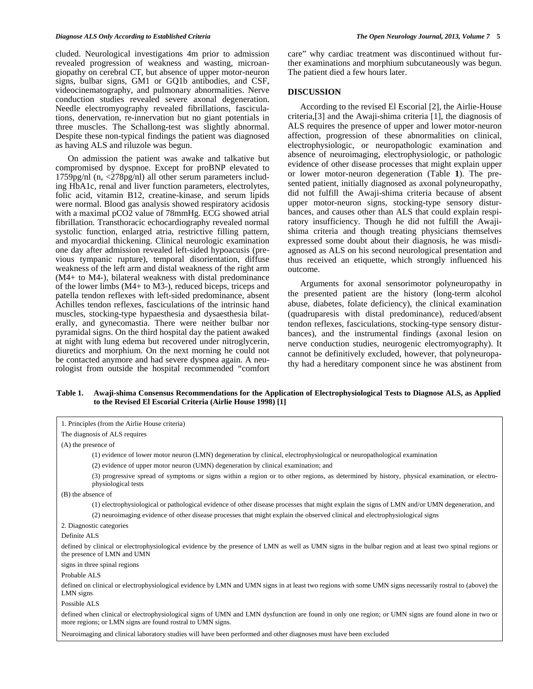#### *Diagnose ALS Only According to Established Criteria The Open Neurology Journal, 2013, Volume 7* **5**

cluded. Neurological investigations 4m prior to admission revealed progression of weakness and wasting, microangiopathy on cerebral CT, but absence of upper motor-neuron signs, bulbar signs, GM1 or GQ1b antibodies, and CSF, videocinematography, and pulmonary abnormalities. Nerve conduction studies revealed severe axonal degeneration. Needle electromyography revealed fibrillations, fasciculations, denervation, re-innervation but no giant potentials in three muscles. The Schallong-test was slightly abnormal. Despite these non-typical findings the patient was diagnosed as having ALS and riluzole was begun.

 On admission the patient was awake and talkative but compromised by dyspnoe. Except for proBNP elevated to 1759pg/nl (n, <278pg/nl) all other serum parameters including HbA1c, renal and liver function parameters, electrolytes, folic acid, vitamin B12, creatine-kinase, and serum lipids were normal. Blood gas analysis showed respiratory acidosis with a maximal pCO2 value of 78mmHg. ECG showed atrial fibrillation. Transthoracic echocardiography revealed normal systolic function, enlarged atria, restrictive filling pattern, and myocardial thickening. Clinical neurologic examination one day after admission revealed left-sided hypoacusis (previous tympanic rupture), temporal disorientation, diffuse weakness of the left arm and distal weakness of the right arm (M4+ to M4-), bilateral weakness with distal predominance of the lower limbs (M4+ to M3-), reduced biceps, triceps and patella tendon reflexes with left-sided predominance, absent Achilles tendon reflexes, fasciculations of the intrinsic hand muscles, stocking-type hypaesthesia and dysaesthesia bilaterally, and gynecomastia. There were neither bulbar nor pyramidal signs. On the third hospital day the patient awaked at night with lung edema but recovered under nitroglycerin, diuretics and morphium. On the next morning he could not be contacted anymore and had severe dyspnea again. A neurologist from outside the hospital recommended "comfort care" why cardiac treatment was discontinued without further examinations and morphium subcutaneously was begun. The patient died a few hours later.

#### **DISCUSSION**

 According to the revised El Escorial [2], the Airlie-House criteria,[3] and the Awaji-shima criteria [1], the diagnosis of ALS requires the presence of upper and lower motor-neuron affection, progression of these abnormalities on clinical, electrophysiologic, or neuropathologic examination and absence of neuroimaging, electrophysiologic, or pathologic evidence of other disease processes that might explain upper or lower motor-neuron degeneration (Table **1**). The presented patient, initially diagnosed as axonal polyneuropathy, did not fulfill the Awaji-shima criteria because of absent upper motor-neuron signs, stocking-type sensory disturbances, and causes other than ALS that could explain respiratory insufficiency. Though he did not fulfill the Awajishima criteria and though treating physicians themselves expressed some doubt about their diagnosis, he was misdiagnosed as ALS on his second neurological presentation and thus received an etiquette, which strongly influenced his outcome.

 Arguments for axonal sensorimotor polyneuropathy in the presented patient are the history (long-term alcohol abuse, diabetes, folate deficiency), the clinical examination (quadruparesis with distal predominance), reduced/absent tendon reflexes, fasciculations, stocking-type sensory disturbances), and the instrumental findings (axonal lesion on nerve conduction studies, neurogenic electromyography). It cannot be definitively excluded, however, that polyneuropathy had a hereditary component since he was abstinent from

# **Table 1. Awaji-shima Consensus Recommendations for the Application of Electrophysiological Tests to Diagnose ALS, as Applied to the Revised El Escorial Criteria (Airlie House 1998) [1]**

| 1. Principles (from the Airlie House criteria)                                                                                                                                                                    |
|-------------------------------------------------------------------------------------------------------------------------------------------------------------------------------------------------------------------|
| The diagnosis of ALS requires                                                                                                                                                                                     |
| $(A)$ the presence of                                                                                                                                                                                             |
| (1) evidence of lower motor neuron (LMN) degeneration by clinical, electrophysiological or neuropathological examination                                                                                          |
| (2) evidence of upper motor neuron (UMN) degeneration by clinical examination; and                                                                                                                                |
| (3) progressive spread of symptoms or signs within a region or to other regions, as determined by history, physical examination, or electro-<br>physiological tests                                               |
| (B) the absence of                                                                                                                                                                                                |
| (1) electrophysiological or pathological evidence of other disease processes that might explain the signs of LMN and/or UMN degeneration, and                                                                     |
| (2) neuroimaging evidence of other disease processes that might explain the observed clinical and electrophysiological signs                                                                                      |
| 2. Diagnostic categories                                                                                                                                                                                          |
| Definite ALS                                                                                                                                                                                                      |
| defined by clinical or electrophysiological evidence by the presence of LMN as well as UMN signs in the bulbar region and at least two spinal regions or<br>the presence of LMN and UMN                           |
| signs in three spinal regions                                                                                                                                                                                     |
| Probable ALS                                                                                                                                                                                                      |
| defined on clinical or electrophysiological evidence by LMN and UMN signs in at least two regions with some UMN signs necessarily rostral to (above) the<br>LMN signs                                             |
| Possible ALS                                                                                                                                                                                                      |
| defined when clinical or electrophysiological signs of UMN and LMN dysfunction are found in only one region; or UMN signs are found alone in two or<br>more regions; or LMN signs are found rostral to UMN signs. |
| Neuroimaging and clinical laboratory studies will have been performed and other diagnoses must have been excluded                                                                                                 |